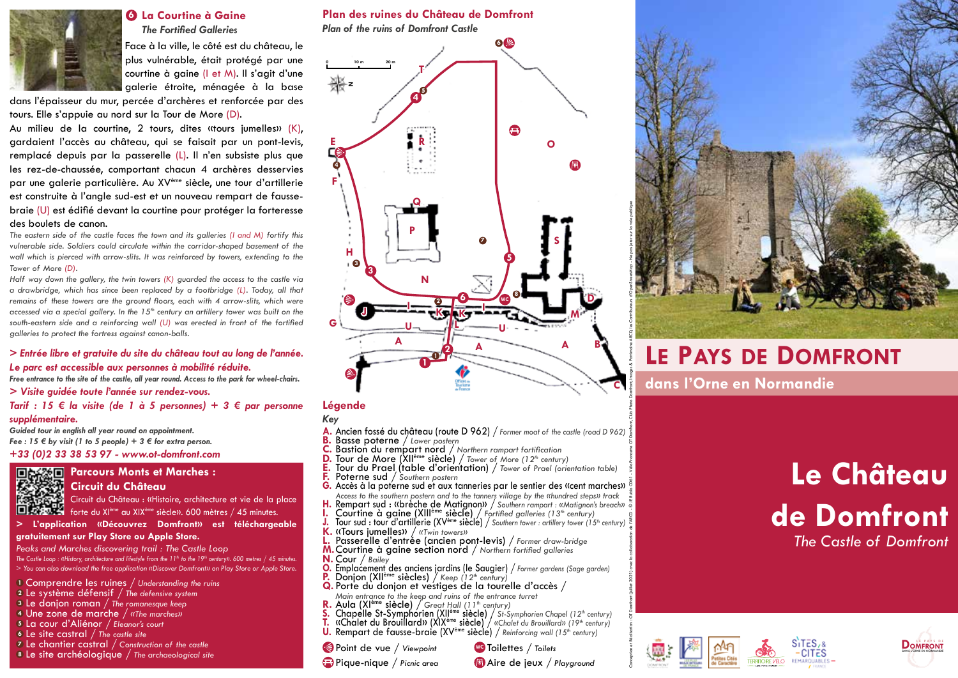

## **La Courtine à Gaine 6** *The Fortified Galleries*

Face à la ville, le côté est du château, le plus vulnérable, était protégé par une courtine à gaine (I et M). Il s'agit d'une galerie étroite, ménagée à la base

dans l'épaisseur du mur, percée d'archères et renforcée par des tours. Elle s'appuie au nord sur la Tour de More (D).

Au milieu de la courtine, 2 tours, dites «tours jumelles» (K), gardaient l'accès au château, qui se faisait par un pont-levis, remplacé depuis par la passerelle (L). Il n'en subsiste plus que les rez-de-chaussée, comportant chacun 4 archères desservies par une galerie particulière. Au XVème siècle, une tour d'artillerie est construite à l'angle sud-est et un nouveau rempart de faussebraie (U) est édifié devant la courtine pour protéger la forteresse des boulets de canon.

*The eastern side of the castle faces the town and its galleries (I and M) fortify this vulnerable side. Soldiers could circulate within the corridor-shaped basement of the*  wall which is pierced with arrow-slits. It was reinforced by towers, extending to the *Tower of More (D).*

*Half way down the gallery, the twin towers (K) guarded the access to the castle via a drawbridge, which has since been replaced by a footbridge (L). Today, all that*  remains of these towers are the ground floors, each with 4 arrow-slits, which were *accessed via a special gallery. In the 15<sup>th</sup> century an artillery tower was built on the south-eastern side and a reinforcing wall (U) was erected in front of the fortified galleries to protect the fortress against canon-balls.*

### *> Entrée libre et gratuite du site du château tout au long de l'année. Le parc est accessible aux personnes à mobilité réduite.*

*Free entrance to the site of the castle, all year round. Access to the park for wheel-chairs.*

### *> Visite guidée toute l'année sur rendez-vous.*

*Tarif : 15 € la visite (de 1 à 5 personnes) + 3 € par personne* 

*supplémentaire.*

*Guided tour in english all year round on appointment.* 

*Fee : 15 € by visit (1 to 5 people) + 3 € for extra person.*

*+33 (0)2 33 38 53 97 - www.ot-domfront.com*



## **Circuit du Château**

Circuit du Château : «Histoire, architecture et vie de la place forte du XIème au XIXème siècle». 600 mètres / 45 minutes.

**> L'application «Découvrez Domfront» est téléchargeable gratuitement sur Play Store ou Apple Store.** 

**Parcours Monts et Marches :** 

*Peaks and Marches discovering trail : The Castle Loop The Castle Loop : «History, architecture and lifestyle from the 11<sup>th</sup> to the 19<sup>th</sup> century». 600 metres / 45 minutes. > You can also download the free application «Discover Domfront» on Play Store or Apple Store.*

Comprendre les ruines / *Understanding the ruins* **1**

- Le système défensif / *The defensive system* **2**
- Le donjon roman / *The romanesque keep* **3**
- Une zone de marche / *«The marches»* **4**
- La cour d'Aliénor / *Eleanor's court* **5**
- Le site castral / *The castle site* **6**
- Le chantier castral / *Construction of the castle* **7**
- Le site archéologique / *The archaeological site* **8**

## **Plan des ruines du Château de Domfront**

*Plan of the ruins of Domfront Castle*



## **Légende**

### *Key*

- **A.** Ancien fossé du château (route D 962) / *Former moat of the castle (road D 962)*
- **B.** Basse poterne / *Lower postern*
- **C.** Bastion du rempart nord / *Northern rampart fortification*
- **D.** Tour de More (XIIème siècle) / *Tower of More (12th century)*
- **E.** Tour du Prael (table d'orientation) / *Tower of Prael (orientation table)* **F.** Poterne sud / *Southern postern*
- **G.** Accès à la poterne sud et aux tanneries par le sentier des «cent marches» *Access to the southern postern and to the tanners village by the «hundred steps» track*
- **H.** Rempart sud : «brèche de Matignon» / *Southern rampart : «Matignon's breach»* **I.** Courtine à gaine (XIIIème siècle) / *Fortified galleries (13th century)*
- Tour sud : tour d'artillerie (XV<sup>ème</sup> siècle) / Southern tower : artillery tower (15<sup>th</sup> century)
- **K.** «Tours jumelles» / *«Twin towers»*
- **L.** Passerelle d'entrée (ancien pont-levis) / *Former draw-bridge*
- **M.**Courtine à gaine section nord / *Northern fortified galleries*
- **N.** Cour / *Bailey*
- **O.** Emplacement des anciens jardins (le Saugier) / *Former gardens (Sage garden)*
- **P.** Donjon (XII<sup>ème</sup> siècles) / *Keep (12<sup>th</sup> century)*
- **Q.** Porte du donjon et vestiges de la tourelle d'accès / *Main entrance to the keep and ruins of the entrance turret*
- 
- **R.** Aula (XI<sup>ème</sup> siècle) / Great Hall (11<sup>th</sup> century)<br><u>S</u>. Chapelle St-Symphorien (XII<sup>ème</sup> siècle) / St-Symphorien Chapel (12<sup>th</sup> century)
- **T.** «Chalet du Brouillard» (XIXème siècle) / *«Chalet du Brouillard» (19th century)*
- **U.** Rempart de fausse-braie (XVème siècle) / *Reinforcing wall (15th century)*
- Point de vue / *Viewpoint*
- Pique-nique / *Picnic area*



Aire de jeux / *Playground*



## **Le Pays de Domfront**

**dans l'Orne en Normandie**

**C**

# **Le Château de Domfront** *The Castle of Domfront*